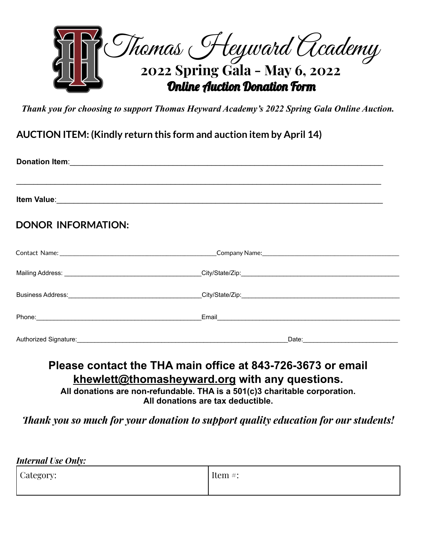

*Thank you for choosing to support Thomas Heyward Academy's 2022 Spring Gala Online Auction.*

**AUCTION ITEM: (Kindly return this form and auction item by April 14)**

| <b>DONOR INFORMATION:</b>                                                                                                                                                                                                     |       |  |  |  |
|-------------------------------------------------------------------------------------------------------------------------------------------------------------------------------------------------------------------------------|-------|--|--|--|
|                                                                                                                                                                                                                               |       |  |  |  |
|                                                                                                                                                                                                                               |       |  |  |  |
|                                                                                                                                                                                                                               |       |  |  |  |
| Phone: Phone and the state of the state of the state of the state of the state of the state of the state of the state of the state of the state of the state of the state of the state of the state of the state of the state |       |  |  |  |
| Authorized Signature:                                                                                                                                                                                                         | Date: |  |  |  |

# **Please contact the THA main office at 843-726-3673 or email [khewlett@thomasheyward.org](mailto:khewlett@thomasheyward.org) with any questions.**

**All donations are non-refundable. THA is a 501(c)3 charitable corporation. All donations are tax deductible.**

*Thank you so much for your donation to support quality education for our students!*

| <b>Internal Use Only:</b> |            |  |  |  |
|---------------------------|------------|--|--|--|
| Category:                 | Item $#$ : |  |  |  |
|                           |            |  |  |  |